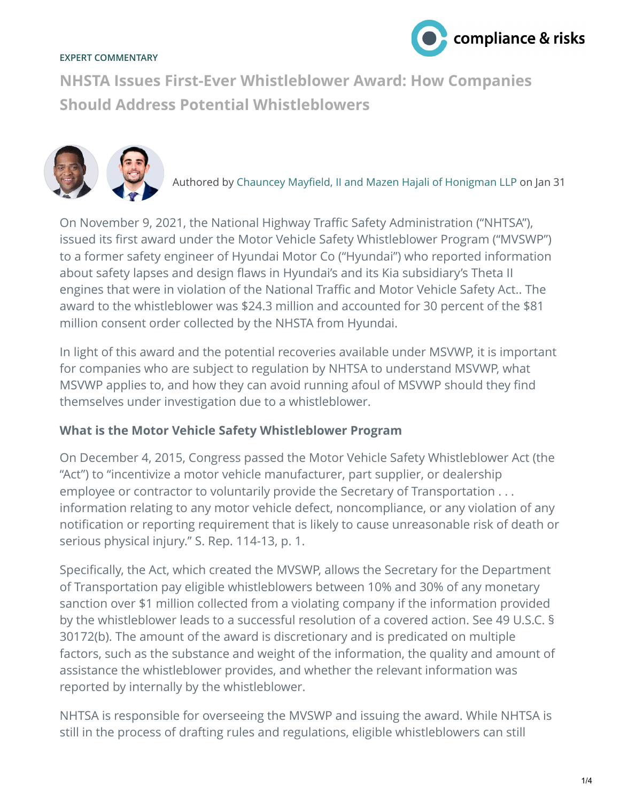## **EXPERT COMMENTARY**



**NHSTA Issues First-Ever Whistleblower Award: How Companies Should Address Potential Whistleblowers**



Authored by Chauncey Mayfield, II and Mazen Hajali of Honigman LLP on Jan 31

On November 9, 2021, the National Highway Traffic Safety Administration ("NHTSA"), issued its first award under the Motor Vehicle Safety Whistleblower Program ("MVSWP") to a former safety engineer of Hyundai Motor Co ("Hyundai") who reported information about safety lapses and design flaws in Hyundai's and its Kia subsidiary's Theta II engines that were in violation of the National Traffic and Motor Vehicle Safety Act.. The award to the whistleblower was \$24.3 million and accounted for 30 percent of the \$81 million consent order collected by the NHSTA from Hyundai.

In light of this award and the potential recoveries available under MSVWP, it is important for companies who are subject to regulation by NHTSA to understand MSVWP, what MSVWP applies to, and how they can avoid running afoul of MSVWP should they find themselves under investigation due to a whistleblower.

## **What is the Motor Vehicle Safety Whistleblower Program**

On December 4, 2015, Congress passed the Motor Vehicle Safety Whistleblower Act (the "Act") to "incentivize a motor vehicle manufacturer, part supplier, or dealership employee or contractor to voluntarily provide the Secretary of Transportation . . . information relating to any motor vehicle defect, noncompliance, or any violation of any notification or reporting requirement that is likely to cause unreasonable risk of death or serious physical injury." S. Rep. 114-13, p. 1.

Specifically, the Act, which created the MVSWP, allows the Secretary for the Department of Transportation pay eligible whistleblowers between 10% and 30% of any monetary sanction over \$1 million collected from a violating company if the information provided by the whistleblower leads to a successful resolution of a covered action. See 49 U.S.C. § 30172(b). The amount of the award is discretionary and is predicated on multiple factors, such as the substance and weight of the information, the quality and amount of assistance the whistleblower provides, and whether the relevant information was reported by internally by the whistleblower.

NHTSA is responsible for overseeing the MVSWP and issuing the award. While NHTSA is still in the process of drafting rules and regulations, eligible whistleblowers can still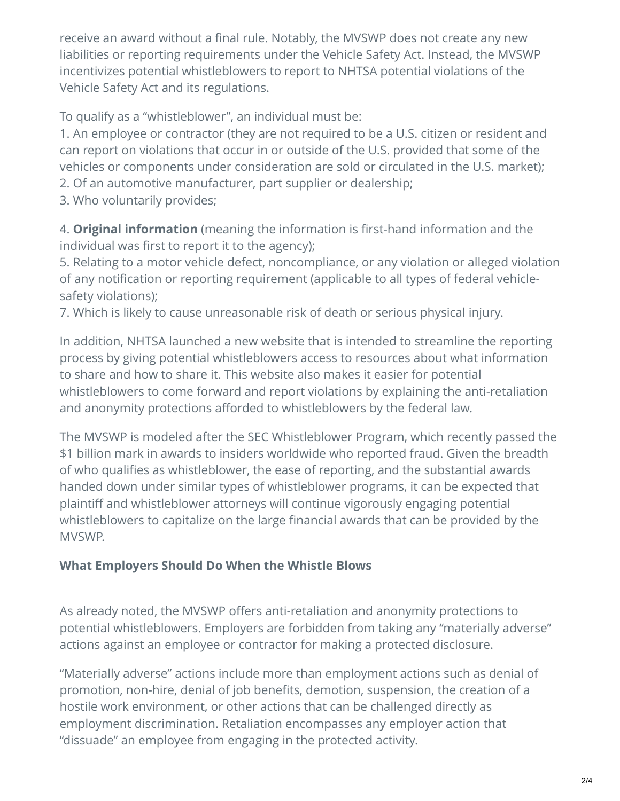receive an award without a final rule. Notably, the MVSWP does not create any new liabilities or reporting requirements under the Vehicle Safety Act. Instead, the MVSWP incentivizes potential whistleblowers to report to NHTSA potential violations of the Vehicle Safety Act and its regulations.

To qualify as a "whistleblower", an individual must be:

1. An employee or contractor (they are not required to be a U.S. citizen or resident and can report on violations that occur in or outside of the U.S. provided that some of the vehicles or components under consideration are sold or circulated in the U.S. market); 2. Of an automotive manufacturer, part supplier or dealership;

3. Who voluntarily provides;

4. **Original information** (meaning the information is first-hand information and the individual was first to report it to the agency);

5. Relating to a motor vehicle defect, noncompliance, or any violation or alleged violation of any notification or reporting requirement (applicable to all types of federal vehiclesafety violations);

7. Which is likely to cause unreasonable risk of death or serious physical injury.

In addition, NHTSA launched a new website that is intended to streamline the reporting process by giving potential whistleblowers access to resources about what information to share and how to share it. This website also makes it easier for potential whistleblowers to come forward and report violations by explaining the anti-retaliation and anonymity protections afforded to whistleblowers by the federal law.

The MVSWP is modeled after the SEC Whistleblower Program, which recently passed the \$1 billion mark in awards to insiders worldwide who reported fraud. Given the breadth of who qualifies as whistleblower, the ease of reporting, and the substantial awards handed down under similar types of whistleblower programs, it can be expected that plaintiff and whistleblower attorneys will continue vigorously engaging potential whistleblowers to capitalize on the large financial awards that can be provided by the MVSWP.

## **What Employers Should Do When the Whistle Blows**

As already noted, the MVSWP offers anti-retaliation and anonymity protections to potential whistleblowers. Employers are forbidden from taking any "materially adverse" actions against an employee or contractor for making a protected disclosure.

"Materially adverse" actions include more than employment actions such as denial of promotion, non-hire, denial of job benefits, demotion, suspension, the creation of a hostile work environment, or other actions that can be challenged directly as employment discrimination. Retaliation encompasses any employer action that "dissuade" an employee from engaging in the protected activity.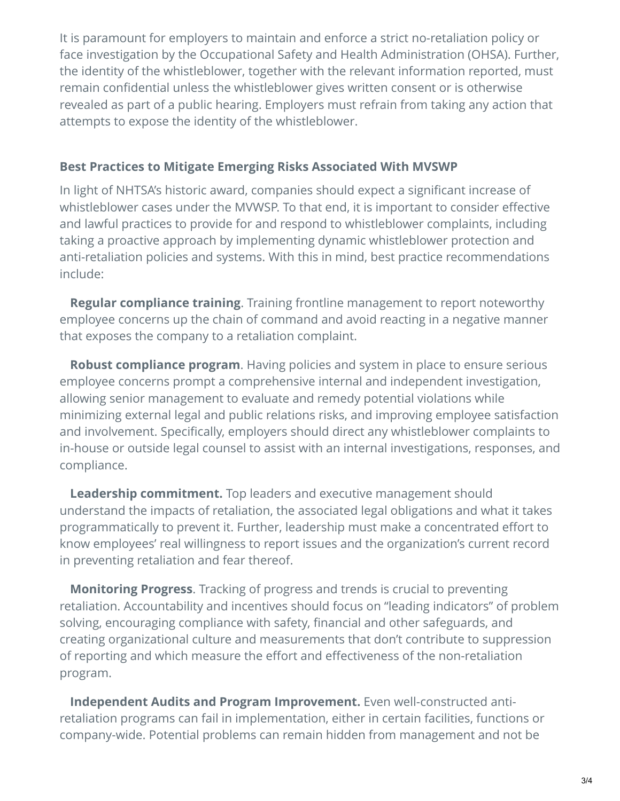It is paramount for employers to maintain and enforce a strict no-retaliation policy or face investigation by the Occupational Safety and Health Administration (OHSA). Further, the identity of the whistleblower, together with the relevant information reported, must remain confidential unless the whistleblower gives written consent or is otherwise revealed as part of a public hearing. Employers must refrain from taking any action that attempts to expose the identity of the whistleblower.

## **Best Practices to Mitigate Emerging Risks Associated With MVSWP**

In light of NHTSA's historic award, companies should expect a significant increase of whistleblower cases under the MVWSP. To that end, it is important to consider effective and lawful practices to provide for and respond to whistleblower complaints, including taking a proactive approach by implementing dynamic whistleblower protection and anti-retaliation policies and systems. With this in mind, best practice recommendations include:

 **Regular compliance training**. Training frontline management to report noteworthy employee concerns up the chain of command and avoid reacting in a negative manner that exposes the company to a retaliation complaint.

 **Robust compliance program**. Having policies and system in place to ensure serious employee concerns prompt a comprehensive internal and independent investigation, allowing senior management to evaluate and remedy potential violations while minimizing external legal and public relations risks, and improving employee satisfaction and involvement. Specifically, employers should direct any whistleblower complaints to in-house or outside legal counsel to assist with an internal investigations, responses, and compliance.

 **Leadership commitment.** Top leaders and executive management should understand the impacts of retaliation, the associated legal obligations and what it takes programmatically to prevent it. Further, leadership must make a concentrated effort to know employees' real willingness to report issues and the organization's current record in preventing retaliation and fear thereof.

 **Monitoring Progress**. Tracking of progress and trends is crucial to preventing retaliation. Accountability and incentives should focus on "leading indicators" of problem solving, encouraging compliance with safety, financial and other safeguards, and creating organizational culture and measurements that don't contribute to suppression of reporting and which measure the effort and effectiveness of the non-retaliation program.

 **Independent Audits and Program Improvement.** Even well-constructed antiretaliation programs can fail in implementation, either in certain facilities, functions or company-wide. Potential problems can remain hidden from management and not be